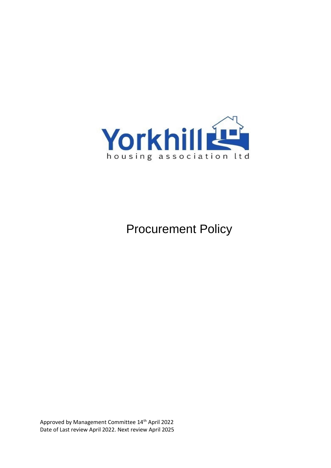

Procurement Policy

Approved by Management Committee 14th April 2022 Date of Last review April 2022. Next review April 2025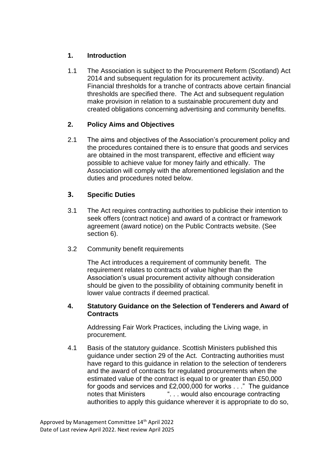## **1. Introduction**

1.1 The Association is subject to the Procurement Reform (Scotland) Act 2014 and subsequent regulation for its procurement activity. Financial thresholds for a tranche of contracts above certain financial thresholds are specified there. The Act and subsequent regulation make provision in relation to a sustainable procurement duty and created obligations concerning advertising and community benefits.

## **2. Policy Aims and Objectives**

2.1 The aims and objectives of the Association's procurement policy and the procedures contained there is to ensure that goods and services are obtained in the most transparent, effective and efficient way possible to achieve value for money fairly and ethically. The Association will comply with the aforementioned legislation and the duties and procedures noted below.

## **3. Specific Duties**

- 3.1 The Act requires contracting authorities to publicise their intention to seek offers (contract notice) and award of a contract or framework agreement (award notice) on the Public Contracts website. (See section 6).
- 3.2 Community benefit requirements

The Act introduces a requirement of community benefit. The requirement relates to contracts of value higher than the Association's usual procurement activity although consideration should be given to the possibility of obtaining community benefit in lower value contracts if deemed practical.

#### **4. Statutory Guidance on the Selection of Tenderers and Award of Contracts**

Addressing Fair Work Practices, including the Living wage, in procurement.

4.1 Basis of the statutory guidance. Scottish Ministers published this guidance under section 29 of the Act. Contracting authorities must have regard to this guidance in relation to the selection of tenderers and the award of contracts for regulated procurements when the estimated value of the contract is equal to or greater than £50,000 for goods and services and £2,000,000 for works . . ." The guidance notes that Ministers ". . . would also encourage contracting authorities to apply this guidance wherever it is appropriate to do so,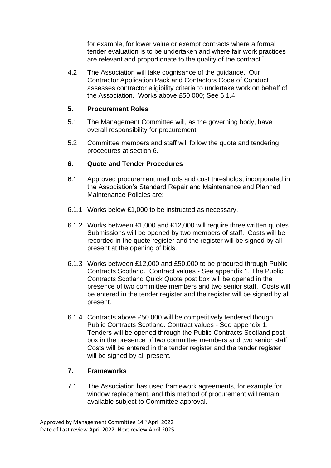for example, for lower value or exempt contracts where a formal tender evaluation is to be undertaken and where fair work practices are relevant and proportionate to the quality of the contract."

4.2 The Association will take cognisance of the guidance. Our Contractor Application Pack and Contactors Code of Conduct assesses contractor eligibility criteria to undertake work on behalf of the Association. Works above £50,000; See 6.1.4.

### **5. Procurement Roles**

- 5.1 The Management Committee will, as the governing body, have overall responsibility for procurement.
- 5.2 Committee members and staff will follow the quote and tendering procedures at section 6.

### **6. Quote and Tender Procedures**

- 6.1 Approved procurement methods and cost thresholds, incorporated in the Association's [Standard Repair and Maintenance](http://www.yorkhillha.org/uploads/2019-11-26-14-18-15-StandardRepairandMaintena-53916.pdf) and [Planned](http://www.yorkhillha.org/uploads/2019-11-26-13-56-51-PlannedMaintenancePolicyc-87992.pdf)  [Maintenance](http://www.yorkhillha.org/uploads/2019-11-26-13-56-51-PlannedMaintenancePolicyc-87992.pdf) Policies are:
- 6.1.1 Works below £1,000 to be instructed as necessary.
- 6.1.2 Works between £1,000 and £12,000 will require three written quotes. Submissions will be opened by two members of staff. Costs will be recorded in the quote register and the register will be signed by all present at the opening of bids.
- 6.1.3 Works between £12,000 and £50,000 to be procured through Public Contracts Scotland. Contract values - See appendix 1. The Public Contracts Scotland Quick Quote post box will be opened in the presence of two committee members and two senior staff. Costs will be entered in the tender register and the register will be signed by all present.
- 6.1.4 Contracts above £50,000 will be competitively tendered though Public Contracts Scotland. Contract values - See appendix 1. Tenders will be opened through the Public Contracts Scotland post box in the presence of two committee members and two senior staff. Costs will be entered in the tender register and the tender register will be signed by all present.

### **7. Frameworks**

7.1 The Association has used framework agreements, for example for window replacement, and this method of procurement will remain available subject to Committee approval.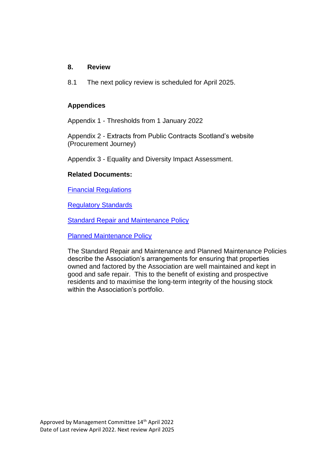#### **8. Review**

8.1 The next policy review is scheduled for April 2025.

#### **Appendices**

Appendix 1 - Thresholds from 1 January 2022

Appendix 2 - Extracts from Public Contracts Scotland's website (Procurement Journey)

Appendix 3 - Equality and Diversity Impact Assessment.

#### **Related Documents:**

[Financial Regulations](http://www.yorkhillha.org/uploads/2019-11-27-09-52-09-FinancialRegulationsandPr-50193.pdf)

[Regulatory Standards](http://www.yorkhillha.org/uploads/2019-10-22-09-57-38-RegulatoryFrameworkfinalF-56710.pdf) 

**[Standard Repair and Maintenance Policy](http://www.yorkhillha.org/uploads/2019-11-26-14-18-15-StandardRepairandMaintena-53916.pdf)** 

[Planned Maintenance Policy](http://www.yorkhillha.org/uploads/2019-11-26-13-56-51-PlannedMaintenancePolicyc-87992.pdf)

The Standard Repair and Maintenance and Planned Maintenance Policies describe the Association's arrangements for ensuring that properties owned and factored by the Association are well maintained and kept in good and safe repair. This to the benefit of existing and prospective residents and to maximise the long-term integrity of the housing stock within the Association's portfolio.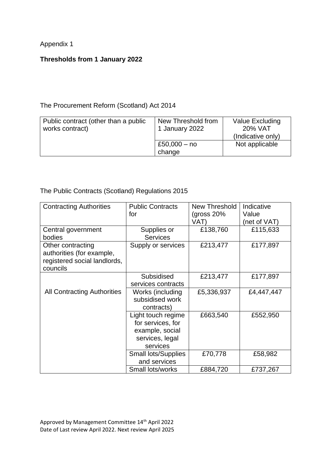Appendix 1

# **Thresholds from 1 January 2022**

### The Procurement Reform (Scotland) Act 2014

| Public contract (other than a public<br>works contract) | New Threshold from<br>1 January 2022 | Value Excluding<br>20% VAT<br>(Indicative only) |
|---------------------------------------------------------|--------------------------------------|-------------------------------------------------|
|                                                         | £50,000 $-$ no<br>change             | Not applicable                                  |

### The Public Contracts (Scotland) Regulations 2015

| <b>Contracting Authorities</b>     | <b>Public Contracts</b>    | New Threshold | Indicative   |
|------------------------------------|----------------------------|---------------|--------------|
|                                    | for                        | (gross 20%    | Value        |
|                                    |                            | VAT)          | (net of VAT) |
| Central government                 | Supplies or                | £138,760      | £115,633     |
| bodies                             | <b>Services</b>            |               |              |
| Other contracting                  | Supply or services         | £213,477      | £177,897     |
| authorities (for example,          |                            |               |              |
| registered social landlords,       |                            |               |              |
| councils                           |                            |               |              |
|                                    | Subsidised                 | £213,477      | £177,897     |
|                                    | services contracts         |               |              |
| <b>All Contracting Authorities</b> | Works (including           | £5,336,937    | £4,447,447   |
|                                    | subsidised work            |               |              |
|                                    | contracts)                 |               |              |
|                                    | Light touch regime         | £663,540      | £552,950     |
|                                    | for services, for          |               |              |
|                                    | example, social            |               |              |
|                                    | services, legal            |               |              |
|                                    | services                   |               |              |
|                                    | <b>Small lots/Supplies</b> | £70,778       | £58,982      |
|                                    | and services               |               |              |
|                                    | Small lots/works           | £884,720      | £737,267     |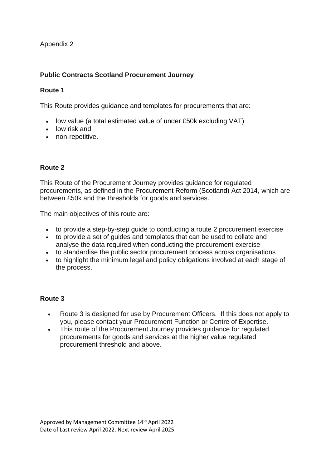Appendix 2

# **Public Contracts Scotland Procurement Journey**

### **Route 1**

This Route provides guidance and templates for procurements that are:

- low value (a total estimated value of under £50k excluding VAT)
- low risk and
- non-repetitive.

### **Route 2**

This Route of the Procurement Journey provides guidance for regulated procurements, as defined in the [Procurement Reform \(Scotland\) Act 2014,](http://www.legislation.gov.uk/asp/2014/12/section/2) which are between £50k and the [thresholds](https://procurementjourney.scot/additional-resources/thresholds) for goods and services.

The main objectives of this route are:

- to provide a step-by-step guide to conducting a route 2 procurement exercise
- to provide a set of guides and templates that can be used to collate and analyse the data required when conducting the procurement exercise
- to standardise the public sector procurement process across organisations
- to highlight the minimum legal and policy obligations involved at each stage of the process.

### **Route 3**

- Route 3 is designed for use by Procurement Officers. If this does not apply to you, please contact your Procurement Function or Centre of Expertise.
- This route of the Procurement Journey provides guidance for regulated procurements for goods and services at the [higher value regulated](https://procurementjourney.scot/additional-resources/thresholds)  [procurement threshold](https://procurementjourney.scot/additional-resources/thresholds) and above.